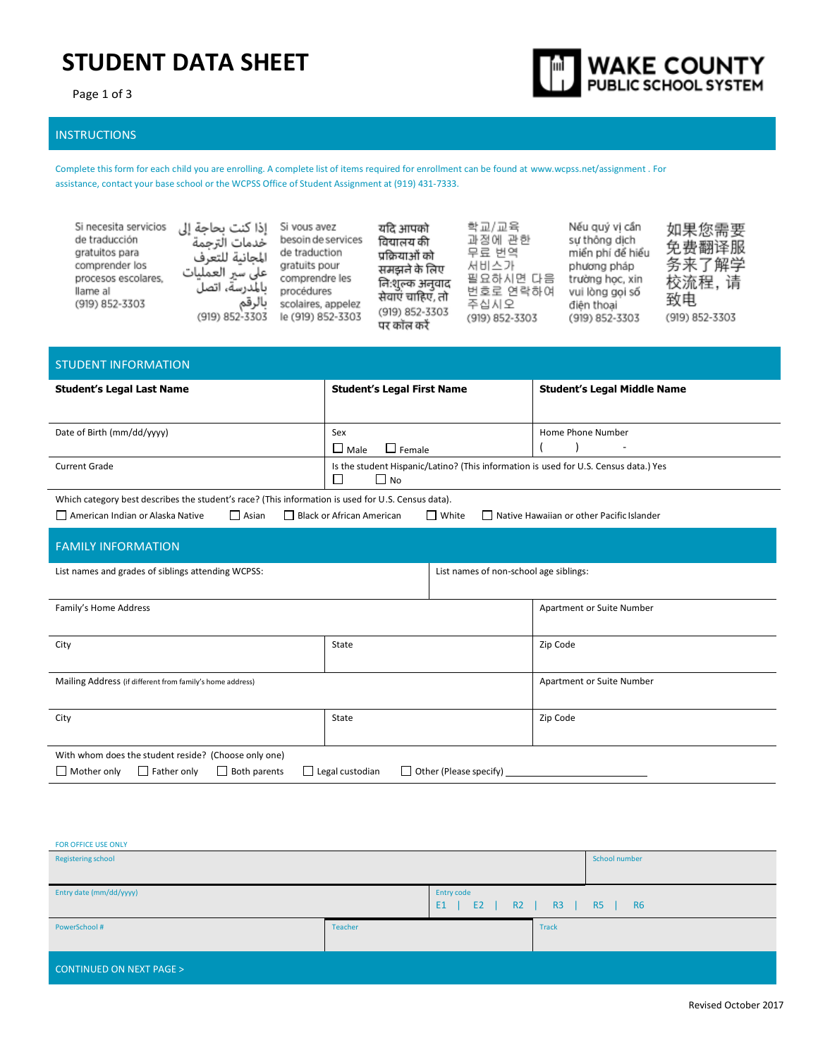# **STUDENT DATA SHEET**

Page 1 of 3



### INSTRUCTIONS

Complete this form for each child you are enrolling. A complete list of items required for enrollment can be found a[t www.wcpss.net/assignment .](http://www.wcpss.net/assignment) For assistance, contact your base school or the WCPSS Office of Student Assignment at (919) 431-7333.

| Si necesita servicios<br>de traducción<br>gratuitos para<br>comprender los<br>procesos escolares,<br>llame al<br>(919) 852-3303 | إذا كنت بحاجة إلى<br>خدمات الترجمة<br>المجانية للتعرف<br>على سير العمليات<br>بالمدرسة، اتصل<br>بالرقم<br>(919) 852-3303 | Si vous avez<br>besoin de services<br>de traduction<br>gratuits pour<br>comprendre les<br>procédures<br>scolaires, appelez<br>le (919) 852-3303 | यदि आपको<br>विद्यालय की<br>प्रक्रियाओं को<br>समझने के लिए<br>निःशुल्क अनुवाद<br>सेवाएं चाहिए, तो<br>(919) 852-3303<br>पर कॉल करें | 학교/교육<br>과정에 관한<br>무료 번역<br>서비스가<br>필요하시면 다음<br>번호로 연락하여<br>주십시오<br>(919) 852-3303 | Nếu quý vi cần<br>sư thông dịch<br>miến phí đế hiếu<br>phương pháp<br>trường học, xin<br>vui lòng goi số<br>điên thoai<br>(919) 852-3303 | 如果您需要<br>免费翻译服<br>务来了解学<br>校流程,请<br>致电<br>(919) 852-3303 |
|---------------------------------------------------------------------------------------------------------------------------------|-------------------------------------------------------------------------------------------------------------------------|-------------------------------------------------------------------------------------------------------------------------------------------------|-----------------------------------------------------------------------------------------------------------------------------------|------------------------------------------------------------------------------------|------------------------------------------------------------------------------------------------------------------------------------------|----------------------------------------------------------|
|---------------------------------------------------------------------------------------------------------------------------------|-------------------------------------------------------------------------------------------------------------------------|-------------------------------------------------------------------------------------------------------------------------------------------------|-----------------------------------------------------------------------------------------------------------------------------------|------------------------------------------------------------------------------------|------------------------------------------------------------------------------------------------------------------------------------------|----------------------------------------------------------|

| <b>STUDENT INFORMATION</b>                                                                         |                                                                                      |                                           |  |  |  |
|----------------------------------------------------------------------------------------------------|--------------------------------------------------------------------------------------|-------------------------------------------|--|--|--|
| <b>Student's Legal Last Name</b>                                                                   | <b>Student's Legal First Name</b>                                                    | <b>Student's Legal Middle Name</b>        |  |  |  |
|                                                                                                    |                                                                                      |                                           |  |  |  |
| Date of Birth (mm/dd/yyyy)                                                                         | Sex                                                                                  | Home Phone Number                         |  |  |  |
|                                                                                                    | $\Box$ Male<br>$\Box$ Female                                                         | ٠                                         |  |  |  |
| <b>Current Grade</b>                                                                               | Is the student Hispanic/Latino? (This information is used for U.S. Census data.) Yes |                                           |  |  |  |
|                                                                                                    | $\Box$ No                                                                            |                                           |  |  |  |
| Which category best describes the student's race? (This information is used for U.S. Census data). |                                                                                      |                                           |  |  |  |
| $\Box$ Asian<br>□ American Indian or Alaska Native                                                 | Black or African American<br>$\Box$ White                                            | Native Hawaiian or other Pacific Islander |  |  |  |
|                                                                                                    |                                                                                      |                                           |  |  |  |
| <b>FAMILY INFORMATION</b>                                                                          |                                                                                      |                                           |  |  |  |
| List names and grades of siblings attending WCPSS:                                                 | List names of non-school age siblings:                                               |                                           |  |  |  |
|                                                                                                    |                                                                                      |                                           |  |  |  |
| Family's Home Address                                                                              |                                                                                      | Apartment or Suite Number                 |  |  |  |
|                                                                                                    |                                                                                      |                                           |  |  |  |
| City                                                                                               | State                                                                                | Zip Code                                  |  |  |  |

| Mailing Address (if different from family's home address)       |                                                  | Apartment or Suite Number |  |  |
|-----------------------------------------------------------------|--------------------------------------------------|---------------------------|--|--|
|                                                                 |                                                  |                           |  |  |
| City                                                            | State                                            | Zip Code                  |  |  |
|                                                                 |                                                  |                           |  |  |
| With whom does the student reside? (Choose only one)            |                                                  |                           |  |  |
| $\Box$ Father only<br>$\Box$ Both parents<br>$\Box$ Mother only | $\Box$ Legal custodian<br>Other (Please specify) |                           |  |  |

| FOR OFFICE USE ONLY                |         |                                        |              |                 |
|------------------------------------|---------|----------------------------------------|--------------|-----------------|
| Registering school                 |         |                                        |              | School number   |
|                                    |         |                                        |              |                 |
| Entry date (mm/dd/yyyy)            |         | Entry code                             |              |                 |
|                                    |         | R2<br>E <sub>1</sub><br>E <sub>2</sub> | R3           | RS<br><b>R6</b> |
| PowerSchool #                      | Teacher |                                        | <b>Track</b> |                 |
|                                    |         |                                        |              |                 |
|                                    |         |                                        |              |                 |
| <b>CONTINUED ON NEXT PAGE &gt;</b> |         |                                        |              |                 |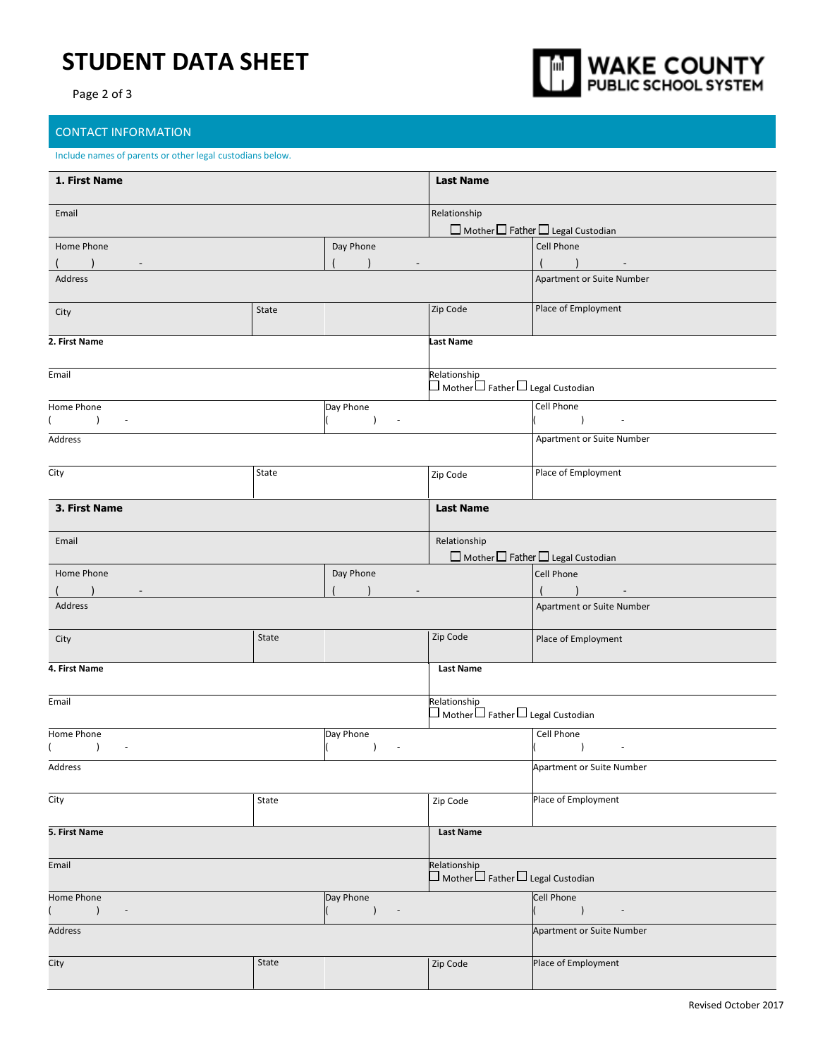## **STUDENT DATA SHEET**

Page 2 of 3



### CONTACT INFORMATION

#### Include names of parents or other legal custodians below.

| 1. First Name                                                                                            |       |                                                    | <b>Last Name</b>                                                            |                                                          |
|----------------------------------------------------------------------------------------------------------|-------|----------------------------------------------------|-----------------------------------------------------------------------------|----------------------------------------------------------|
| Email                                                                                                    |       |                                                    | Relationship                                                                | $\Box$ Mother $\Box$ Father $\Box$ Legal Custodian       |
| Home Phone                                                                                               |       | Day Phone                                          |                                                                             | Cell Phone<br>$\sim$                                     |
| Address                                                                                                  |       |                                                    |                                                                             | Apartment or Suite Number                                |
| City                                                                                                     | State |                                                    | Zip Code                                                                    | Place of Employment                                      |
| 2. First Name                                                                                            |       |                                                    | <b>Last Name</b>                                                            |                                                          |
| Email                                                                                                    |       |                                                    | Relationship<br>$\square$ Mother $\square$ Father $\square$ Legal Custodian |                                                          |
| Home Phone<br>$\left( \right)$<br>$\overline{\phantom{a}}$                                               |       | Day Phone<br>$\lambda$<br>$\overline{\phantom{a}}$ |                                                                             | Cell Phone<br>$\rightarrow$<br>$\blacksquare$            |
| Address                                                                                                  |       |                                                    |                                                                             | Apartment or Suite Number                                |
| City                                                                                                     | State |                                                    | Zip Code                                                                    | Place of Employment                                      |
| 3. First Name                                                                                            |       |                                                    | <b>Last Name</b>                                                            |                                                          |
| Email                                                                                                    |       |                                                    | Relationship                                                                | $\Box$ Mother $\Box$ Father $\Box$ Legal Custodian       |
| Home Phone<br>(                                                                                          |       | Day Phone                                          |                                                                             | Cell Phone<br>$( )$ ) -                                  |
| Address                                                                                                  |       |                                                    |                                                                             | Apartment or Suite Number                                |
| City                                                                                                     | State |                                                    | Zip Code                                                                    | Place of Employment                                      |
| 4. First Name                                                                                            |       |                                                    | <b>Last Name</b>                                                            |                                                          |
| Email                                                                                                    |       |                                                    | Relationship<br>$\square$ Mother $\square$ Father $\square$ Legal Custodian |                                                          |
| Home Phone<br>$\lambda$<br>$\sim$                                                                        |       | Day Phone<br>$\lambda$<br>$\overline{\phantom{a}}$ |                                                                             | Cell Phone<br>$\overline{)}$<br>$\overline{\phantom{a}}$ |
| Address                                                                                                  |       |                                                    |                                                                             | <b>Apartment or Suite Number</b>                         |
| City                                                                                                     | State |                                                    | Zip Code                                                                    | Place of Employment                                      |
| 5. First Name                                                                                            |       |                                                    | <b>Last Name</b>                                                            |                                                          |
| Email                                                                                                    |       |                                                    | Relationship<br>$\square$ Mother $\square$ Father $\square$ Legal Custodian |                                                          |
| Day Phone<br>Home Phone<br>$\sqrt{2}$<br>$\left( \right)$<br>$\sim$ 10 $\pm$<br>$\overline{\phantom{a}}$ |       |                                                    | Cell Phone<br>$\overline{\phantom{a}}$<br>$\overline{\phantom{a}}$          |                                                          |
| Address                                                                                                  |       |                                                    |                                                                             | Apartment or Suite Number                                |
| City                                                                                                     | State |                                                    | Zip Code                                                                    | Place of Employment                                      |